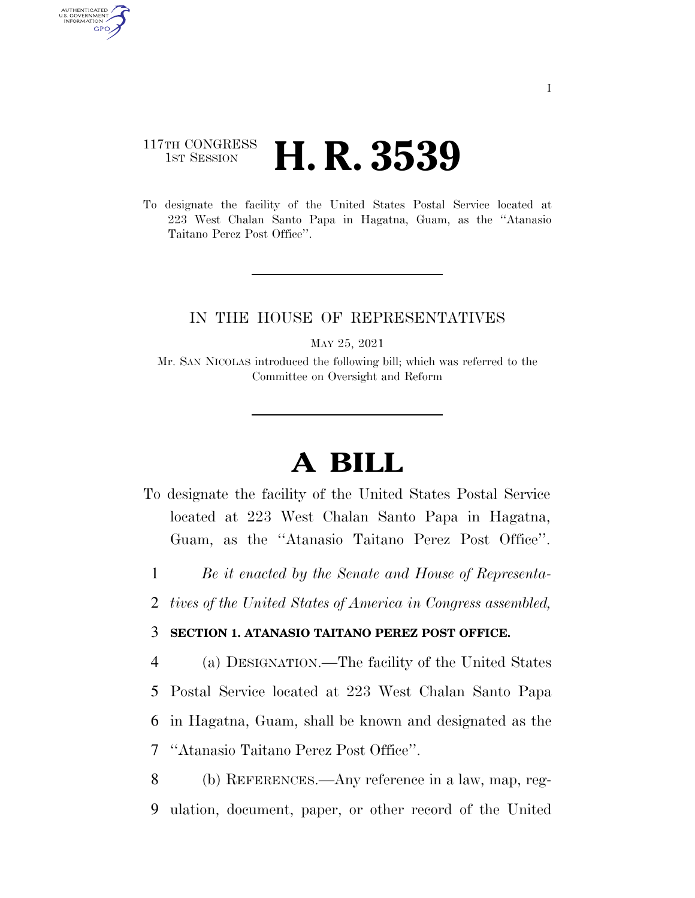## 117TH CONGRESS **1st Session H. R. 3539**

AUTHENTICATED<br>U.S. GOVERNMENT<br>INFORMATION GPO

> To designate the facility of the United States Postal Service located at 223 West Chalan Santo Papa in Hagatna, Guam, as the ''Atanasio Taitano Perez Post Office''.

## IN THE HOUSE OF REPRESENTATIVES

MAY 25, 2021

Mr. SAN NICOLAS introduced the following bill; which was referred to the Committee on Oversight and Reform

## **A BILL**

- To designate the facility of the United States Postal Service located at 223 West Chalan Santo Papa in Hagatna, Guam, as the ''Atanasio Taitano Perez Post Office''.
	- 1 *Be it enacted by the Senate and House of Representa-*
- 2 *tives of the United States of America in Congress assembled,*

## 3 **SECTION 1. ATANASIO TAITANO PEREZ POST OFFICE.**

 (a) DESIGNATION.—The facility of the United States Postal Service located at 223 West Chalan Santo Papa in Hagatna, Guam, shall be known and designated as the ''Atanasio Taitano Perez Post Office''.

8 (b) REFERENCES.—Any reference in a law, map, reg-9 ulation, document, paper, or other record of the United